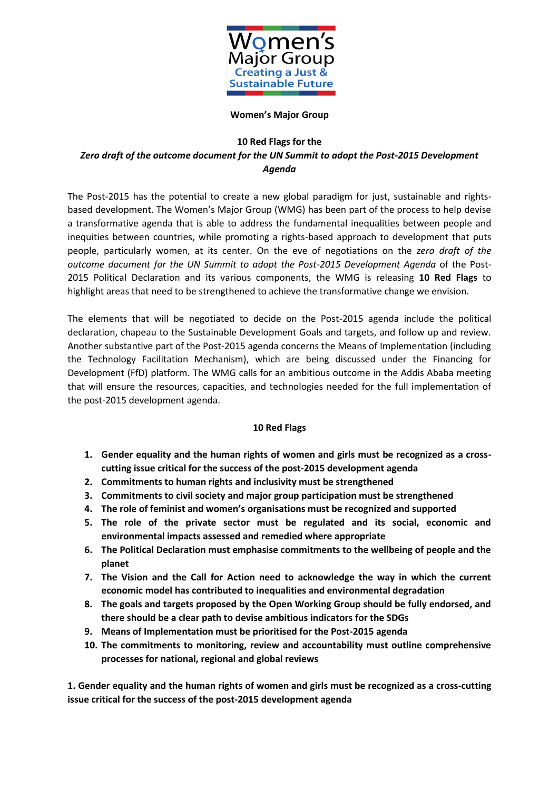

#### **Women's Major Group**

### **10 Red Flags for the**

# *Zero draft of the outcome document for the UN Summit to adopt the Post-2015 Development Agenda*

The Post-2015 has the potential to create a new global paradigm for just, sustainable and rightsbased development. The Women's Major Group (WMG) has been part of the process to help devise a transformative agenda that is able to address the fundamental inequalities between people and inequities between countries, while promoting a rights-based approach to development that puts people, particularly women, at its center. On the eve of negotiations on the *zero draft of the outcome document for the UN Summit to adopt the Post-2015 Development Agenda* of the Post-2015 Political Declaration and its various components, the WMG is releasing **10 Red Flags** to highlight areas that need to be strengthened to achieve the transformative change we envision.

The elements that will be negotiated to decide on the Post-2015 agenda include the political declaration, chapeau to the Sustainable Development Goals and targets, and follow up and review. Another substantive part of the Post-2015 agenda concerns the Means of Implementation (including the Technology Facilitation Mechanism), which are being discussed under the Financing for Development (FfD) platform. The WMG calls for an ambitious outcome in the Addis Ababa meeting that will ensure the resources, capacities, and technologies needed for the full implementation of the post-2015 development agenda.

# **10 Red Flags**

- **1. Gender equality and the human rights of women and girls must be recognized as a crosscutting issue critical for the success of the post-2015 development agenda**
- **2. Commitments to human rights and inclusivity must be strengthened**
- **3. Commitments to civil society and major group participation must be strengthened**
- **4. The role of feminist and women's organisations must be recognized and supported**
- **5. The role of the private sector must be regulated and its social, economic and environmental impacts assessed and remedied where appropriate**
- **6. The Political Declaration must emphasise commitments to the wellbeing of people and the planet**
- **7. The Vision and the Call for Action need to acknowledge the way in which the current economic model has contributed to inequalities and environmental degradation**
- **8. The goals and targets proposed by the Open Working Group should be fully endorsed, and there should be a clear path to devise ambitious indicators for the SDGs**
- **9. Means of Implementation must be prioritised for the Post-2015 agenda**
- **10. The commitments to monitoring, review and accountability must outline comprehensive processes for national, regional and global reviews**

**1. Gender equality and the human rights of women and girls must be recognized as a cross-cutting issue critical for the success of the post-2015 development agenda**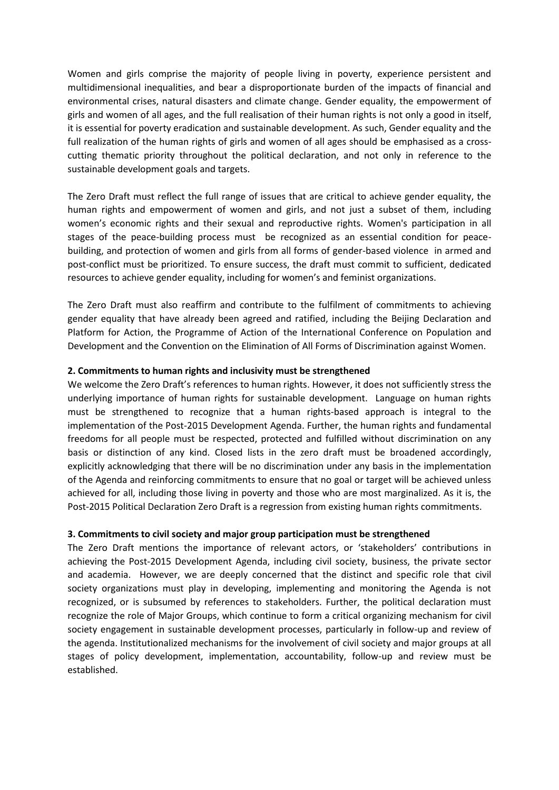Women and girls comprise the majority of people living in poverty, experience persistent and multidimensional inequalities, and bear a disproportionate burden of the impacts of financial and environmental crises, natural disasters and climate change. Gender equality, the empowerment of girls and women of all ages, and the full realisation of their human rights is not only a good in itself, it is essential for poverty eradication and sustainable development. As such, Gender equality and the full realization of the human rights of girls and women of all ages should be emphasised as a crosscutting thematic priority throughout the political declaration, and not only in reference to the sustainable development goals and targets.

The Zero Draft must reflect the full range of issues that are critical to achieve gender equality, the human rights and empowerment of women and girls, and not just a subset of them, including women's economic rights and their sexual and reproductive rights. Women's participation in all stages of the peace-building process must be recognized as an essential condition for peacebuilding, and protection of women and girls from all forms of gender-based violence in armed and post-conflict must be prioritized. To ensure success, the draft must commit to sufficient, dedicated resources to achieve gender equality, including for women's and feminist organizations.

The Zero Draft must also reaffirm and contribute to the fulfilment of commitments to achieving gender equality that have already been agreed and ratified, including the Beijing Declaration and Platform for Action, the Programme of Action of the International Conference on Population and Development and the Convention on the Elimination of All Forms of Discrimination against Women.

#### **2. Commitments to human rights and inclusivity must be strengthened**

We welcome the Zero Draft's references to human rights. However, it does not sufficiently stress the underlying importance of human rights for sustainable development. Language on human rights must be strengthened to recognize that a human rights-based approach is integral to the implementation of the Post-2015 Development Agenda. Further, the human rights and fundamental freedoms for all people must be respected, protected and fulfilled without discrimination on any basis or distinction of any kind. Closed lists in the zero draft must be broadened accordingly, explicitly acknowledging that there will be no discrimination under any basis in the implementation of the Agenda and reinforcing commitments to ensure that no goal or target will be achieved unless achieved for all, including those living in poverty and those who are most marginalized. As it is, the Post-2015 Political Declaration Zero Draft is a regression from existing human rights commitments.

# **3. Commitments to civil society and major group participation must be strengthened**

The Zero Draft mentions the importance of relevant actors, or 'stakeholders' contributions in achieving the Post-2015 Development Agenda, including civil society, business, the private sector and academia. However, we are deeply concerned that the distinct and specific role that civil society organizations must play in developing, implementing and monitoring the Agenda is not recognized, or is subsumed by references to stakeholders. Further, the political declaration must recognize the role of Major Groups, which continue to form a critical organizing mechanism for civil society engagement in sustainable development processes, particularly in follow-up and review of the agenda. Institutionalized mechanisms for the involvement of civil society and major groups at all stages of policy development, implementation, accountability, follow-up and review must be established.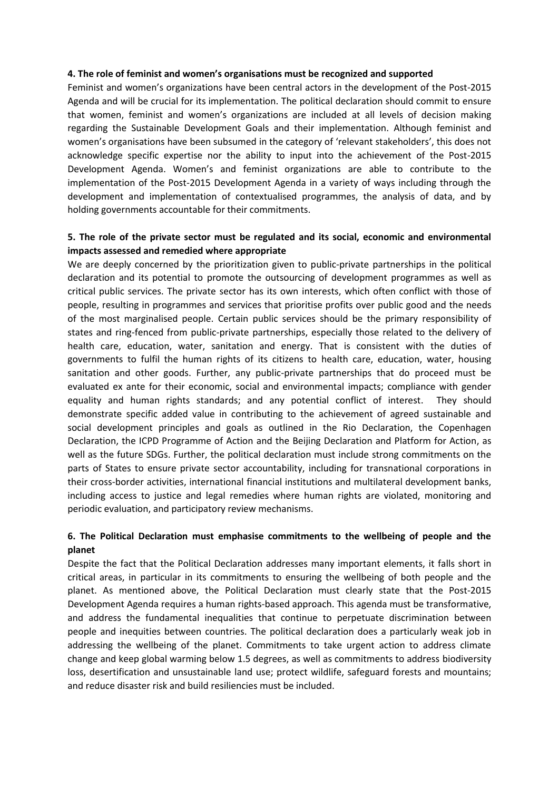#### **4. The role of feminist and women's organisations must be recognized and supported**

Feminist and women's organizations have been central actors in the development of the Post-2015 Agenda and will be crucial for its implementation. The political declaration should commit to ensure that women, feminist and women's organizations are included at all levels of decision making regarding the Sustainable Development Goals and their implementation. Although feminist and women's organisations have been subsumed in the category of 'relevant stakeholders', this does not acknowledge specific expertise nor the ability to input into the achievement of the Post-2015 Development Agenda. Women's and feminist organizations are able to contribute to the implementation of the Post-2015 Development Agenda in a variety of ways including through the development and implementation of contextualised programmes, the analysis of data, and by holding governments accountable for their commitments.

### **5. The role of the private sector must be regulated and its social, economic and environmental impacts assessed and remedied where appropriate**

We are deeply concerned by the prioritization given to public-private partnerships in the political declaration and its potential to promote the outsourcing of development programmes as well as critical public services. The private sector has its own interests, which often conflict with those of people, resulting in programmes and services that prioritise profits over public good and the needs of the most marginalised people. Certain public services should be the primary responsibility of states and ring-fenced from public-private partnerships, especially those related to the delivery of health care, education, water, sanitation and energy. That is consistent with the duties of governments to fulfil the human rights of its citizens to health care, education, water, housing sanitation and other goods. Further, any public-private partnerships that do proceed must be evaluated ex ante for their economic, social and environmental impacts; compliance with gender equality and human rights standards; and any potential conflict of interest. They should demonstrate specific added value in contributing to the achievement of agreed sustainable and social development principles and goals as outlined in the Rio Declaration, the Copenhagen Declaration, the ICPD Programme of Action and the Beijing Declaration and Platform for Action, as well as the future SDGs. Further, the political declaration must include strong commitments on the parts of States to ensure private sector accountability, including for transnational corporations in their cross-border activities, international financial institutions and multilateral development banks, including access to justice and legal remedies where human rights are violated, monitoring and periodic evaluation, and participatory review mechanisms.

### **6. The Political Declaration must emphasise commitments to the wellbeing of people and the planet**

Despite the fact that the Political Declaration addresses many important elements, it falls short in critical areas, in particular in its commitments to ensuring the wellbeing of both people and the planet. As mentioned above, the Political Declaration must clearly state that the Post-2015 Development Agenda requires a human rights-based approach. This agenda must be transformative, and address the fundamental inequalities that continue to perpetuate discrimination between people and inequities between countries. The political declaration does a particularly weak job in addressing the wellbeing of the planet. Commitments to take urgent action to address climate change and keep global warming below 1.5 degrees, as well as commitments to address biodiversity loss, desertification and unsustainable land use; protect wildlife, safeguard forests and mountains; and reduce disaster risk and build resiliencies must be included.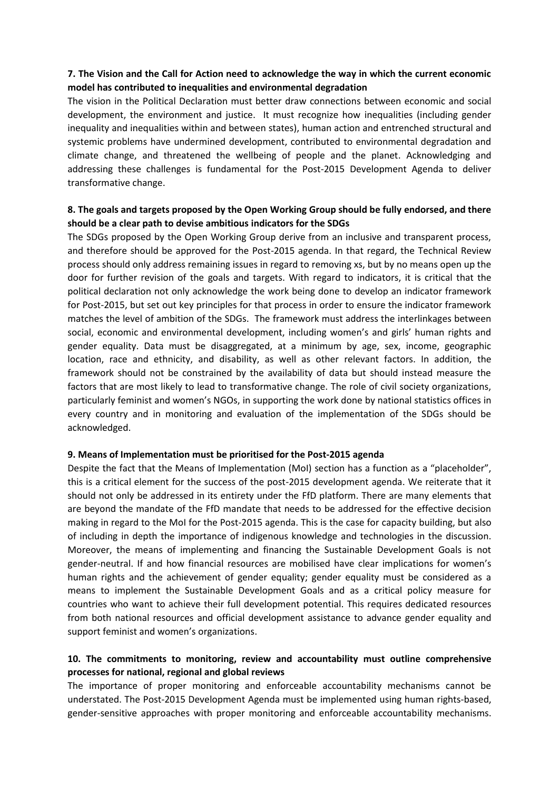# **7. The Vision and the Call for Action need to acknowledge the way in which the current economic model has contributed to inequalities and environmental degradation**

The vision in the Political Declaration must better draw connections between economic and social development, the environment and justice. It must recognize how inequalities (including gender inequality and inequalities within and between states), human action and entrenched structural and systemic problems have undermined development, contributed to environmental degradation and climate change, and threatened the wellbeing of people and the planet. Acknowledging and addressing these challenges is fundamental for the Post-2015 Development Agenda to deliver transformative change.

# **8. The goals and targets proposed by the Open Working Group should be fully endorsed, and there should be a clear path to devise ambitious indicators for the SDGs**

The SDGs proposed by the Open Working Group derive from an inclusive and transparent process, and therefore should be approved for the Post-2015 agenda. In that regard, the Technical Review process should only address remaining issues in regard to removing xs, but by no means open up the door for further revision of the goals and targets. With regard to indicators, it is critical that the political declaration not only acknowledge the work being done to develop an indicator framework for Post-2015, but set out key principles for that process in order to ensure the indicator framework matches the level of ambition of the SDGs. The framework must address the interlinkages between social, economic and environmental development, including women's and girls' human rights and gender equality. Data must be disaggregated, at a minimum by age, sex, income, geographic location, race and ethnicity, and disability, as well as other relevant factors. In addition, the framework should not be constrained by the availability of data but should instead measure the factors that are most likely to lead to transformative change. The role of civil society organizations, particularly feminist and women's NGOs, in supporting the work done by national statistics offices in every country and in monitoring and evaluation of the implementation of the SDGs should be acknowledged.

#### **9. Means of Implementation must be prioritised for the Post-2015 agenda**

Despite the fact that the Means of Implementation (MoI) section has a function as a "placeholder". this is a critical element for the success of the post-2015 development agenda. We reiterate that it should not only be addressed in its entirety under the FfD platform. There are many elements that are beyond the mandate of the FfD mandate that needs to be addressed for the effective decision making in regard to the MoI for the Post-2015 agenda. This is the case for capacity building, but also of including in depth the importance of indigenous knowledge and technologies in the discussion. Moreover, the means of implementing and financing the Sustainable Development Goals is not gender-neutral. If and how financial resources are mobilised have clear implications for women's human rights and the achievement of gender equality; gender equality must be considered as a means to implement the Sustainable Development Goals and as a critical policy measure for countries who want to achieve their full development potential. This requires dedicated resources from both national resources and official development assistance to advance gender equality and support feminist and women's organizations.

# **10. The commitments to monitoring, review and accountability must outline comprehensive processes for national, regional and global reviews**

The importance of proper monitoring and enforceable accountability mechanisms cannot be understated. The Post-2015 Development Agenda must be implemented using human rights-based, gender-sensitive approaches with proper monitoring and enforceable accountability mechanisms.